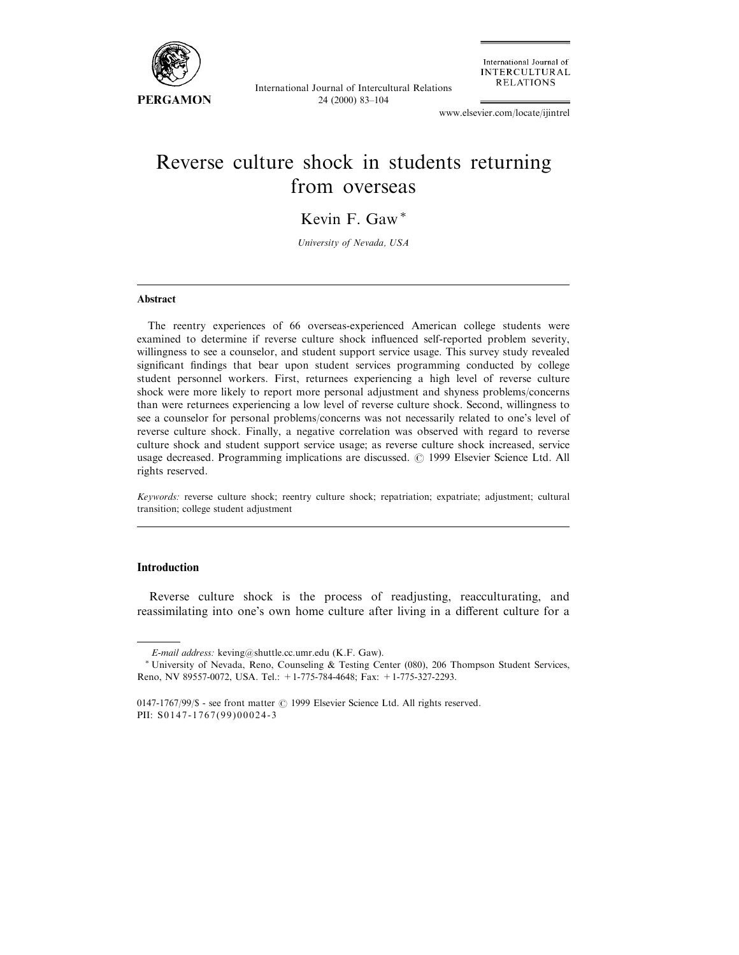

International Journal of Intercultural Relations 24 (2000) 83-104

International Journal of **INTERCULTURAL RELATIONS** 

www.elsevier.com/locate/ijintrel

# Reverse culture shock in students returning from overseas

Kevin F. Gaw

University of Nevada, USA

#### Abstract

The reentry experiences of 66 overseas-experienced American college students were examined to determine if reverse culture shock influenced self-reported problem severity, willingness to see a counselor, and student support service usage. This survey study revealed significant findings that bear upon student services programming conducted by college student personnel workers. First, returnees experiencing a high level of reverse culture shock were more likely to report more personal adjustment and shyness problems/concerns than were returnees experiencing a low level of reverse culture shock. Second, willingness to see a counselor for personal problems/concerns was not necessarily related to one's level of reverse culture shock. Finally, a negative correlation was observed with regard to reverse culture shock and student support service usage; as reverse culture shock increased, service usage decreased. Programming implications are discussed.  $\odot$  1999 Elsevier Science Ltd. All rights reserved.

Keywords: reverse culture shock; reentry culture shock; repatriation; expatriate; adjustment; cultural transition; college student adjustment

# Introduction

Reverse culture shock is the process of readjusting, reacculturating, and reassimilating into one's own home culture after living in a different culture for a

E-mail address: keving@shuttle.cc.umr.edu (K.F. Gaw).

University of Nevada, Reno, Counseling & Testing Center (080), 206 Thompson Student Services, Reno, NV 89557-0072, USA. Tel.: +1-775-784-4648; Fax: +1-775-327-2293.

<sup>0147-1767/99/\$ -</sup> see front matter © 1999 Elsevier Science Ltd. All rights reserved. PII: S0147-1767(99)00024-3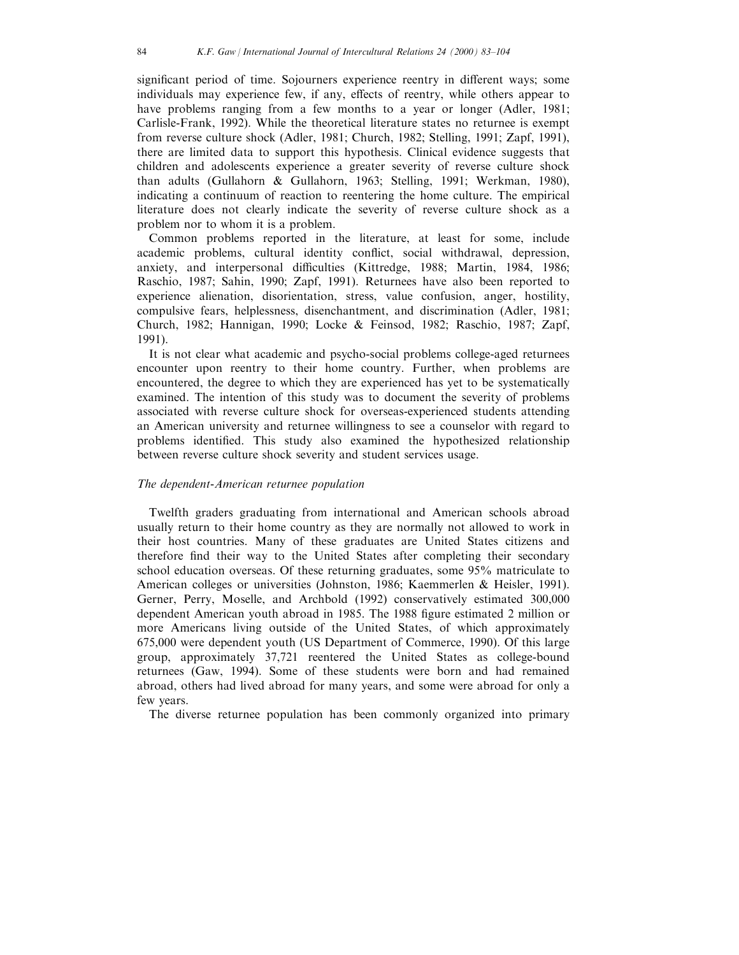significant period of time. Sojourners experience reentry in different ways; some individuals may experience few, if any, effects of reentry, while others appear to have problems ranging from a few months to a year or longer (Adler, 1981; Carlisle-Frank, 1992). While the theoretical literature states no returnee is exempt from reverse culture shock (Adler, 1981; Church, 1982; Stelling, 1991; Zapf, 1991), there are limited data to support this hypothesis. Clinical evidence suggests that children and adolescents experience a greater severity of reverse culture shock than adults (Gullahorn & Gullahorn, 1963; Stelling, 1991; Werkman, 1980), indicating a continuum of reaction to reentering the home culture. The empirical literature does not clearly indicate the severity of reverse culture shock as a problem nor to whom it is a problem.

Common problems reported in the literature, at least for some, include academic problems, cultural identity conflict, social withdrawal, depression, anxiety, and interpersonal difficulties (Kittredge, 1988; Martin, 1984, 1986; Raschio, 1987; Sahin, 1990; Zapf, 1991). Returnees have also been reported to experience alienation, disorientation, stress, value confusion, anger, hostility, compulsive fears, helplessness, disenchantment, and discrimination (Adler, 1981; Church, 1982; Hannigan, 1990; Locke & Feinsod, 1982; Raschio, 1987; Zapf, 1991).

It is not clear what academic and psycho-social problems college-aged returnees encounter upon reentry to their home country. Further, when problems are encountered, the degree to which they are experienced has yet to be systematically examined. The intention of this study was to document the severity of problems associated with reverse culture shock for overseas-experienced students attending an American university and returnee willingness to see a counselor with regard to problems identified. This study also examined the hypothesized relationship between reverse culture shock severity and student services usage.

# The dependent-American returnee population

Twelfth graders graduating from international and American schools abroad usually return to their home country as they are normally not allowed to work in their host countries. Many of these graduates are United States citizens and therefore find their way to the United States after completing their secondary school education overseas. Of these returning graduates, some 95% matriculate to American colleges or universities (Johnston, 1986; Kaemmerlen & Heisler, 1991). Gerner, Perry, Moselle, and Archbold (1992) conservatively estimated 300,000 dependent American youth abroad in 1985. The 1988 figure estimated 2 million or more Americans living outside of the United States, of which approximately 675,000 were dependent youth (US Department of Commerce, 1990). Of this large group, approximately 37,721 reentered the United States as college-bound returnees (Gaw, 1994). Some of these students were born and had remained abroad, others had lived abroad for many years, and some were abroad for only a few years.

The diverse returnee population has been commonly organized into primary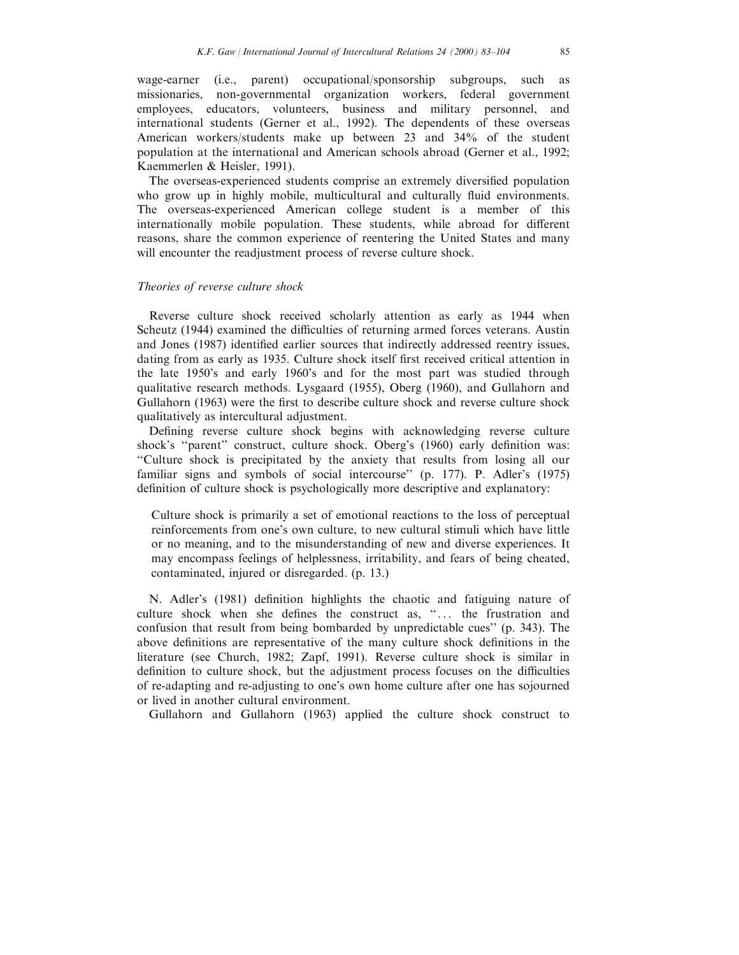wage-earner (i.e., parent) occupational/sponsorship subgroups, such as missionaries, non-governmental organization workers, federal government employees, educators, volunteers, business and military personnel, and international students (Gerner et al., 1992). The dependents of these overseas American workers/students make up between 23 and 34% of the student population at the international and American schools abroad (Gerner et al., 1992; Kaemmerlen & Heisler, 1991).

The overseas-experienced students comprise an extremely diversified population who grow up in highly mobile, multicultural and culturally fluid environments. The overseas-experienced American college student is a member of this internationally mobile population. These students, while abroad for different reasons, share the common experience of reentering the United States and many will encounter the readjustment process of reverse culture shock.

# Theories of reverse culture shock

Reverse culture shock received scholarly attention as early as 1944 when Scheutz (1944) examined the difficulties of returning armed forces veterans. Austin and Jones (1987) identified earlier sources that indirectly addressed reentry issues, dating from as early as 1935. Culture shock itself first received critical attention in the late 1950's and early 1960's and for the most part was studied through qualitative research methods. Lysgaard (1955), Oberg (1960), and Gullahorn and Gullahorn (1963) were the first to describe culture shock and reverse culture shock qualitatively as intercultural adjustment.

Defining reverse culture shock begins with acknowledging reverse culture shock's "parent" construct, culture shock. Oberg's (1960) early definition was: ``Culture shock is precipitated by the anxiety that results from losing all our familiar signs and symbols of social intercourse'' (p. 177). P. Adler's (1975) definition of culture shock is psychologically more descriptive and explanatory:

Culture shock is primarily a set of emotional reactions to the loss of perceptual reinforcements from one's own culture, to new cultural stimuli which have little or no meaning, and to the misunderstanding of new and diverse experiences. It may encompass feelings of helplessness, irritability, and fears of being cheated, contaminated, injured or disregarded. (p. 13.)

N. Adler's (1981) definition highlights the chaotic and fatiguing nature of culture shock when she defines the construct as,  $\cdot$ ... the frustration and confusion that result from being bombarded by unpredictable cues'' (p. 343). The above definitions are representative of the many culture shock definitions in the literature (see Church, 1982; Zapf, 1991). Reverse culture shock is similar in definition to culture shock, but the adjustment process focuses on the difficulties of re-adapting and re-adjusting to one's own home culture after one has sojourned or lived in another cultural environment.

Gullahorn and Gullahorn (1963) applied the culture shock construct to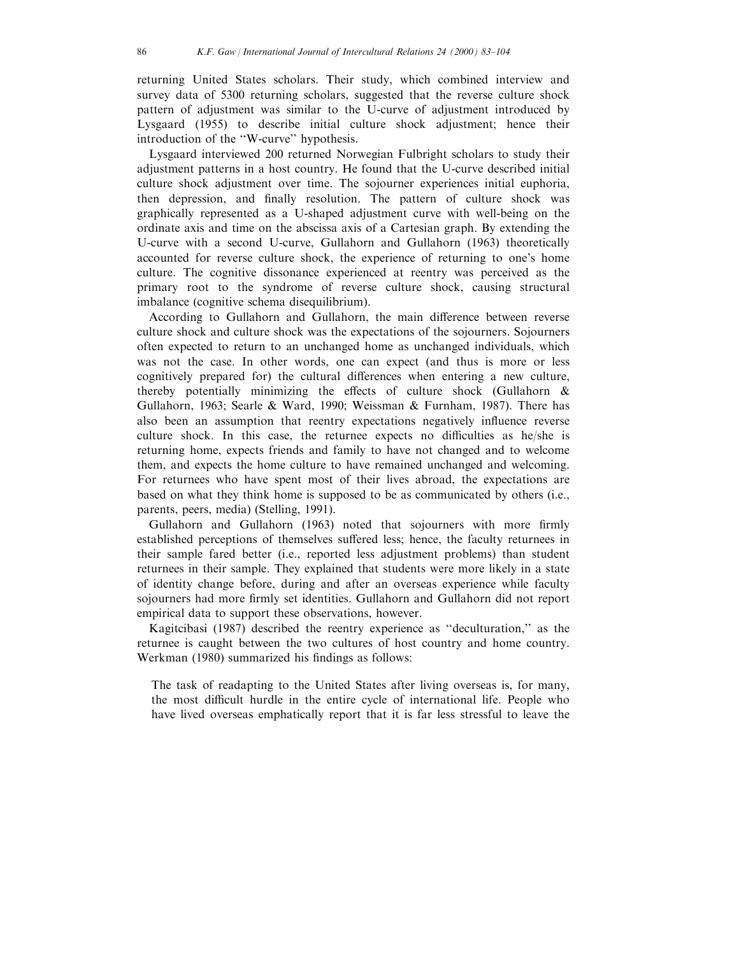returning United States scholars. Their study, which combined interview and survey data of 5300 returning scholars, suggested that the reverse culture shock pattern of adjustment was similar to the U-curve of adjustment introduced by Lysgaard (1955) to describe initial culture shock adjustment; hence their introduction of the "W-curve" hypothesis.

Lysgaard interviewed 200 returned Norwegian Fulbright scholars to study their adjustment patterns in a host country. He found that the U-curve described initial culture shock adjustment over time. The sojourner experiences initial euphoria, then depression, and finally resolution. The pattern of culture shock was graphically represented as a U-shaped adjustment curve with well-being on the ordinate axis and time on the abscissa axis of a Cartesian graph. By extending the U-curve with a second U-curve, Gullahorn and Gullahorn (1963) theoretically accounted for reverse culture shock, the experience of returning to one's home culture. The cognitive dissonance experienced at reentry was perceived as the primary root to the syndrome of reverse culture shock, causing structural imbalance (cognitive schema disequilibrium).

According to Gullahorn and Gullahorn, the main difference between reverse culture shock and culture shock was the expectations of the sojourners. Sojourners often expected to return to an unchanged home as unchanged individuals, which was not the case. In other words, one can expect (and thus is more or less cognitively prepared for) the cultural differences when entering a new culture, thereby potentially minimizing the effects of culture shock (Gullahorn  $\&$ Gullahorn, 1963; Searle & Ward, 1990; Weissman & Furnham, 1987). There has also been an assumption that reentry expectations negatively influence reverse culture shock. In this case, the returnee expects no difficulties as he/she is returning home, expects friends and family to have not changed and to welcome them, and expects the home culture to have remained unchanged and welcoming. For returnees who have spent most of their lives abroad, the expectations are based on what they think home is supposed to be as communicated by others (i.e., parents, peers, media) (Stelling, 1991).

Gullahorn and Gullahorn (1963) noted that sojourners with more firmly established perceptions of themselves suffered less; hence, the faculty returnees in their sample fared better (i.e., reported less adjustment problems) than student returnees in their sample. They explained that students were more likely in a state of identity change before, during and after an overseas experience while faculty sojourners had more firmly set identities. Gullahorn and Gullahorn did not report empirical data to support these observations, however.

Kagitcibasi (1987) described the reentry experience as "deculturation," as the returnee is caught between the two cultures of host country and home country. Werkman (1980) summarized his findings as follows:

The task of readapting to the United States after living overseas is, for many, the most difficult hurdle in the entire cycle of international life. People who have lived overseas emphatically report that it is far less stressful to leave the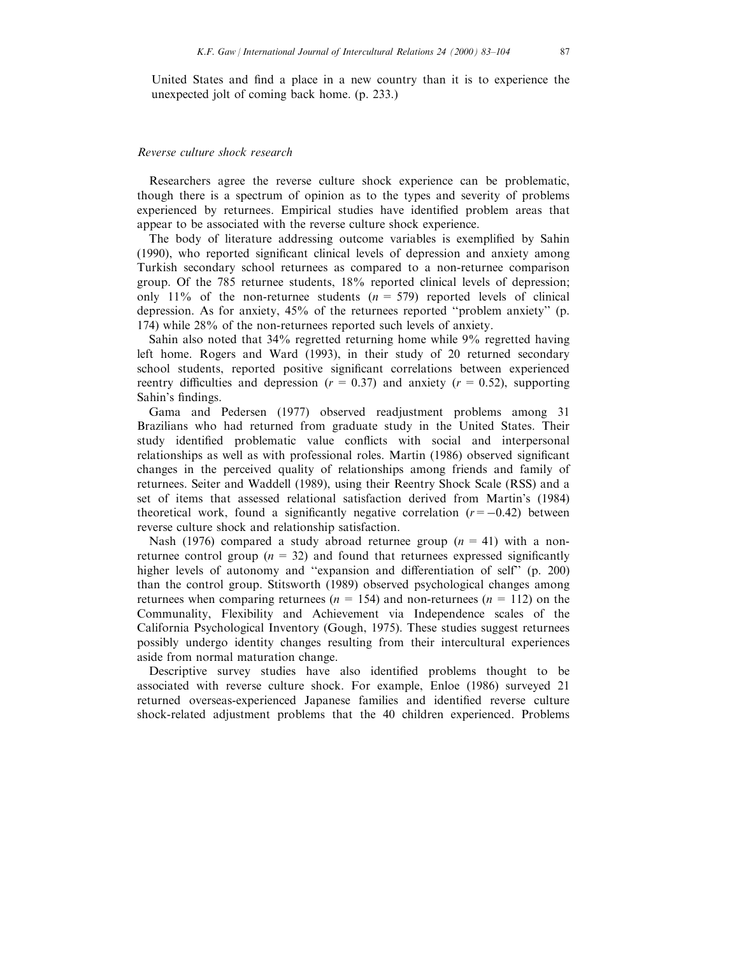United States and find a place in a new country than it is to experience the unexpected jolt of coming back home. (p. 233.)

## Reverse culture shock research

Researchers agree the reverse culture shock experience can be problematic, though there is a spectrum of opinion as to the types and severity of problems experienced by returnees. Empirical studies have identified problem areas that appear to be associated with the reverse culture shock experience.

The body of literature addressing outcome variables is exemplified by Sahin (1990), who reported significant clinical levels of depression and anxiety among Turkish secondary school returnees as compared to a non-returnee comparison group. Of the 785 returnee students, 18% reported clinical levels of depression; only 11% of the non-returnee students  $(n = 579)$  reported levels of clinical depression. As for anxiety, 45% of the returnees reported "problem anxiety" (p. 174) while 28% of the non-returnees reported such levels of anxiety.

Sahin also noted that 34% regretted returning home while 9% regretted having left home. Rogers and Ward (1993), in their study of 20 returned secondary school students, reported positive significant correlations between experienced reentry difficulties and depression ( $r = 0.37$ ) and anxiety ( $r = 0.52$ ), supporting Sahin's findings.

Gama and Pedersen (1977) observed readjustment problems among 31 Brazilians who had returned from graduate study in the United States. Their study identified problematic value conflicts with social and interpersonal relationships as well as with professional roles. Martin (1986) observed significant changes in the perceived quality of relationships among friends and family of returnees. Seiter and Waddell (1989), using their Reentry Shock Scale (RSS) and a set of items that assessed relational satisfaction derived from Martin's (1984) theoretical work, found a significantly negative correlation  $(r=-0.42)$  between reverse culture shock and relationship satisfaction.

Nash (1976) compared a study abroad returnee group ( $n = 41$ ) with a nonreturnee control group ( $n = 32$ ) and found that returnees expressed significantly higher levels of autonomy and "expansion and differentiation of self" (p. 200) than the control group. Stitsworth (1989) observed psychological changes among returnees when comparing returnees ( $n = 154$ ) and non-returnees ( $n = 112$ ) on the Communality, Flexibility and Achievement via Independence scales of the California Psychological Inventory (Gough, 1975). These studies suggest returnees possibly undergo identity changes resulting from their intercultural experiences aside from normal maturation change.

Descriptive survey studies have also identified problems thought to be associated with reverse culture shock. For example, Enloe (1986) surveyed 21 returned overseas-experienced Japanese families and identified reverse culture shock-related adjustment problems that the 40 children experienced. Problems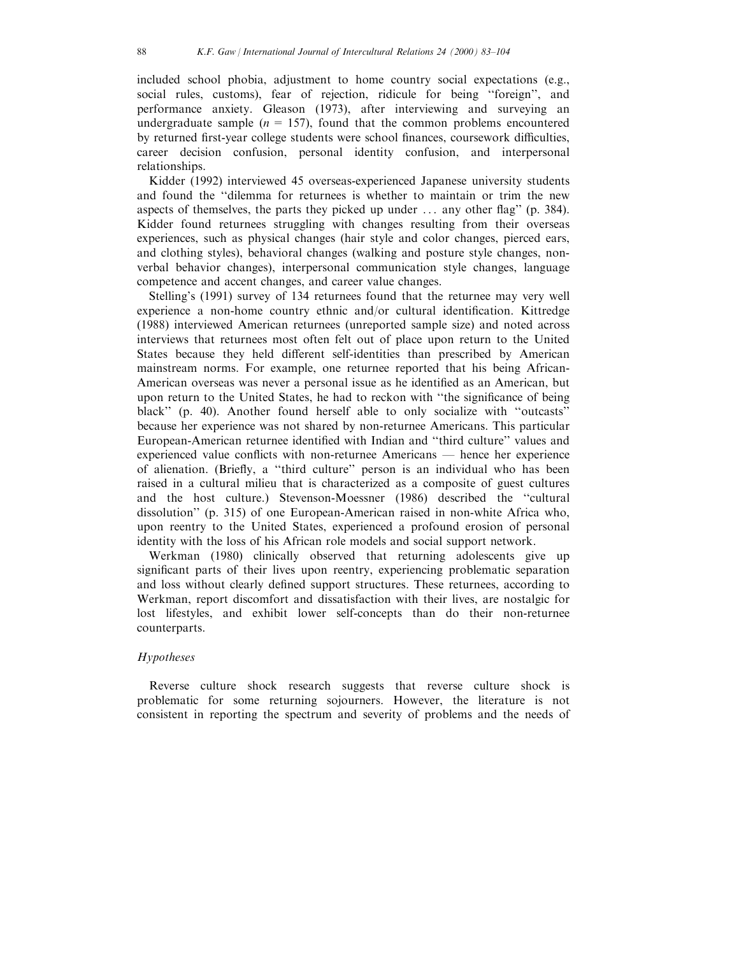included school phobia, adjustment to home country social expectations (e.g., social rules, customs), fear of rejection, ridicule for being "foreign", and performance anxiety. Gleason (1973), after interviewing and surveying an undergraduate sample  $(n = 157)$ , found that the common problems encountered by returned first-year college students were school finances, coursework difficulties, career decision confusion, personal identity confusion, and interpersonal relationships.

Kidder (1992) interviewed 45 overseas-experienced Japanese university students and found the "dilemma for returnees is whether to maintain or trim the new aspects of themselves, the parts they picked up under  $\dots$  any other flag" (p. 384). Kidder found returnees struggling with changes resulting from their overseas experiences, such as physical changes (hair style and color changes, pierced ears, and clothing styles), behavioral changes (walking and posture style changes, nonverbal behavior changes), interpersonal communication style changes, language competence and accent changes, and career value changes.

Stelling's (1991) survey of 134 returnees found that the returnee may very well experience a non-home country ethnic and/or cultural identification. Kittredge (1988) interviewed American returnees (unreported sample size) and noted across interviews that returnees most often felt out of place upon return to the United States because they held different self-identities than prescribed by American mainstream norms. For example, one returnee reported that his being African-American overseas was never a personal issue as he identified as an American, but upon return to the United States, he had to reckon with "the significance of being black" (p. 40). Another found herself able to only socialize with "outcasts" because her experience was not shared by non-returnee Americans. This particular European-American returnee identified with Indian and "third culture" values and  $e^{\frac{1}{2}}$  experienced value conflicts with non-returnee Americans  $\overline{\phantom{a}}$  hence her experience of alienation. (Briefly, a "third culture" person is an individual who has been raised in a cultural milieu that is characterized as a composite of guest cultures and the host culture.) Stevenson-Moessner (1986) described the "cultural dissolution'' (p. 315) of one European-American raised in non-white Africa who, upon reentry to the United States, experienced a profound erosion of personal identity with the loss of his African role models and social support network.

Werkman (1980) clinically observed that returning adolescents give up significant parts of their lives upon reentry, experiencing problematic separation and loss without clearly defined support structures. These returnees, according to Werkman, report discomfort and dissatisfaction with their lives, are nostalgic for lost lifestyles, and exhibit lower self-concepts than do their non-returnee counterparts.

## Hypotheses

Reverse culture shock research suggests that reverse culture shock is problematic for some returning sojourners. However, the literature is not consistent in reporting the spectrum and severity of problems and the needs of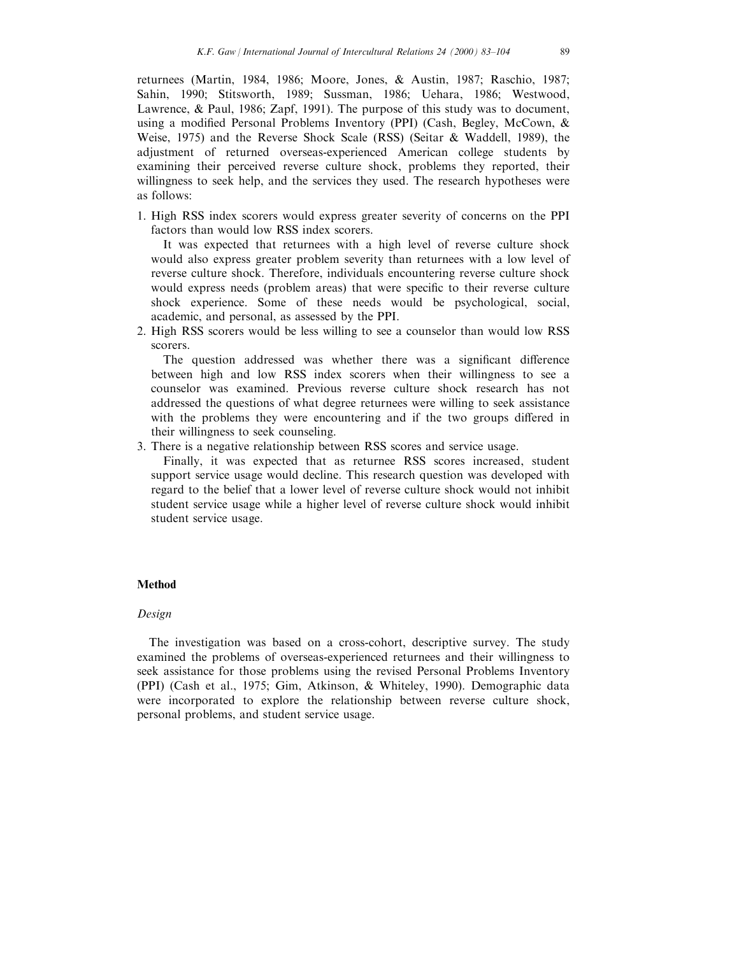returnees (Martin, 1984, 1986; Moore, Jones, & Austin, 1987; Raschio, 1987; Sahin, 1990; Stitsworth, 1989; Sussman, 1986; Uehara, 1986; Westwood, Lawrence, & Paul, 1986; Zapf, 1991). The purpose of this study was to document, using a modified Personal Problems Inventory (PPI) (Cash, Begley, McCown, & Weise, 1975) and the Reverse Shock Scale (RSS) (Seitar & Waddell, 1989), the adjustment of returned overseas-experienced American college students by examining their perceived reverse culture shock, problems they reported, their willingness to seek help, and the services they used. The research hypotheses were as follows:

1. High RSS index scorers would express greater severity of concerns on the PPI factors than would low RSS index scorers.

It was expected that returnees with a high level of reverse culture shock would also express greater problem severity than returnees with a low level of reverse culture shock. Therefore, individuals encountering reverse culture shock would express needs (problem areas) that were specific to their reverse culture shock experience. Some of these needs would be psychological, social, academic, and personal, as assessed by the PPI.

2. High RSS scorers would be less willing to see a counselor than would low RSS scorers.

The question addressed was whether there was a significant difference between high and low RSS index scorers when their willingness to see a counselor was examined. Previous reverse culture shock research has not addressed the questions of what degree returnees were willing to seek assistance with the problems they were encountering and if the two groups differed in their willingness to seek counseling.

3. There is a negative relationship between RSS scores and service usage.

Finally, it was expected that as returnee RSS scores increased, student support service usage would decline. This research question was developed with regard to the belief that a lower level of reverse culture shock would not inhibit student service usage while a higher level of reverse culture shock would inhibit student service usage.

#### Method

#### Design

The investigation was based on a cross-cohort, descriptive survey. The study examined the problems of overseas-experienced returnees and their willingness to seek assistance for those problems using the revised Personal Problems Inventory (PPI) (Cash et al., 1975; Gim, Atkinson, & Whiteley, 1990). Demographic data were incorporated to explore the relationship between reverse culture shock, personal problems, and student service usage.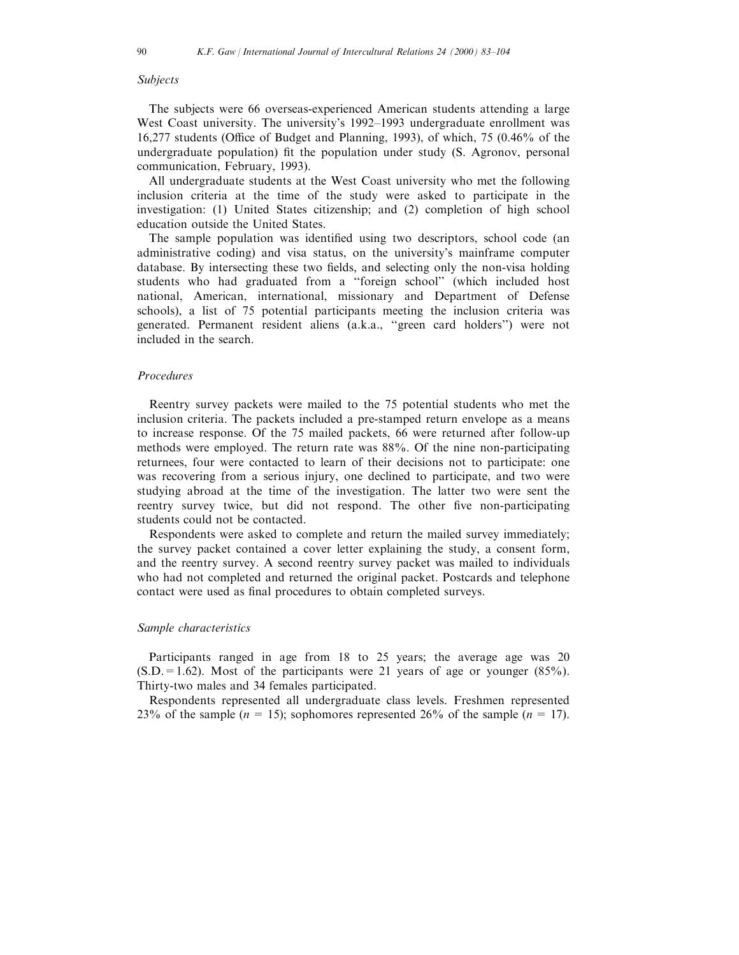# Subjects

The subjects were 66 overseas-experienced American students attending a large West Coast university. The university's 1992–1993 undergraduate enrollment was 16,277 students (Office of Budget and Planning, 1993), of which, 75 (0.46% of the undergraduate population) fit the population under study (S. Agronov, personal communication, February, 1993).

All undergraduate students at the West Coast university who met the following inclusion criteria at the time of the study were asked to participate in the investigation: (1) United States citizenship; and (2) completion of high school education outside the United States.

The sample population was identified using two descriptors, school code (an administrative coding) and visa status, on the university's mainframe computer database. By intersecting these two fields, and selecting only the non-visa holding students who had graduated from a "foreign school" (which included host national, American, international, missionary and Department of Defense schools), a list of 75 potential participants meeting the inclusion criteria was generated. Permanent resident aliens (a.k.a., "green card holders") were not included in the search.

## Procedures

Reentry survey packets were mailed to the 75 potential students who met the inclusion criteria. The packets included a pre-stamped return envelope as a means to increase response. Of the 75 mailed packets, 66 were returned after follow-up methods were employed. The return rate was 88%. Of the nine non-participating returnees, four were contacted to learn of their decisions not to participate: one was recovering from a serious injury, one declined to participate, and two were studying abroad at the time of the investigation. The latter two were sent the reentry survey twice, but did not respond. The other five non-participating students could not be contacted.

Respondents were asked to complete and return the mailed survey immediately; the survey packet contained a cover letter explaining the study, a consent form, and the reentry survey. A second reentry survey packet was mailed to individuals who had not completed and returned the original packet. Postcards and telephone contact were used as final procedures to obtain completed surveys.

## Sample characteristics

Participants ranged in age from 18 to 25 years; the average age was 20  $(S.D. = 1.62)$ . Most of the participants were 21 years of age or younger  $(85\%)$ . Thirty-two males and 34 females participated.

Respondents represented all undergraduate class levels. Freshmen represented 23% of the sample ( $n = 15$ ); sophomores represented 26% of the sample ( $n = 17$ ).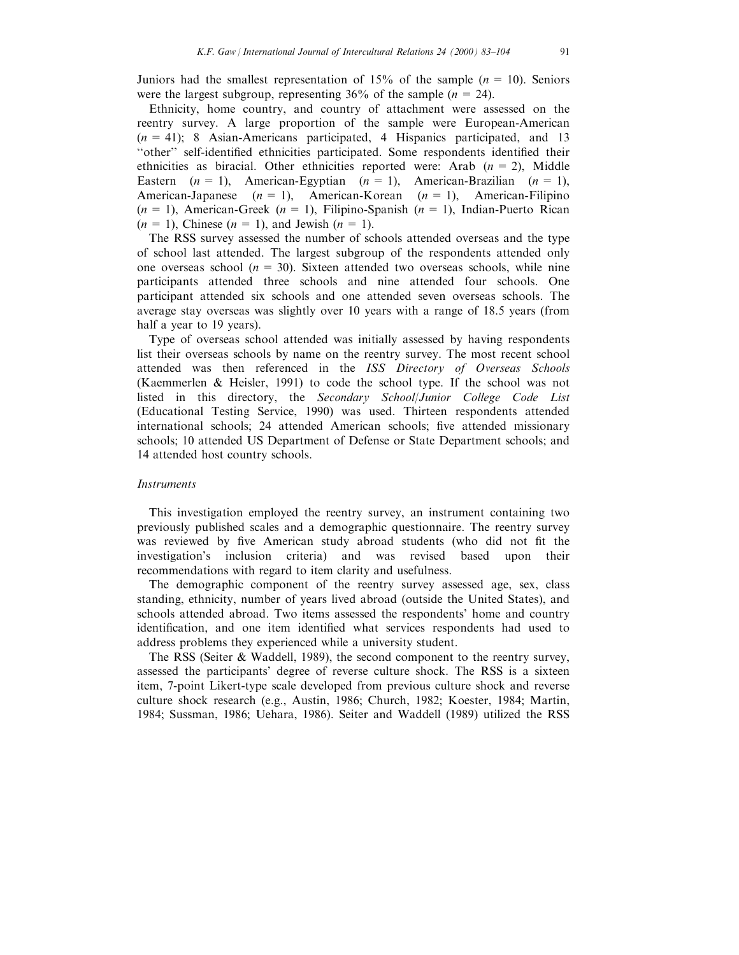Juniors had the smallest representation of 15% of the sample  $(n = 10)$ . Seniors were the largest subgroup, representing 36% of the sample  $(n = 24)$ .

Ethnicity, home country, and country of attachment were assessed on the reentry survey. A large proportion of the sample were European-American  $(n = 41)$ ; 8 Asian-Americans participated, 4 Hispanics participated, and 13 "other" self-identified ethnicities participated. Some respondents identified their ethnicities as biracial. Other ethnicities reported were: Arab  $(n = 2)$ , Middle Eastern  $(n = 1)$ , American-Egyptian  $(n = 1)$ , American-Brazilian  $(n = 1)$ , American-Japanese  $(n = 1)$ , American-Korean  $(n = 1)$ , American-Filipino  $(n = 1)$ , American-Greek  $(n = 1)$ , Filipino-Spanish  $(n = 1)$ , Indian-Puerto Rican  $(n = 1)$ , Chinese  $(n = 1)$ , and Jewish  $(n = 1)$ .

The RSS survey assessed the number of schools attended overseas and the type of school last attended. The largest subgroup of the respondents attended only one overseas school ( $n = 30$ ). Sixteen attended two overseas schools, while nine participants attended three schools and nine attended four schools. One participant attended six schools and one attended seven overseas schools. The average stay overseas was slightly over 10 years with a range of 18.5 years (from half a year to 19 years).

Type of overseas school attended was initially assessed by having respondents list their overseas schools by name on the reentry survey. The most recent school attended was then referenced in the ISS Directory of Overseas Schools (Kaemmerlen & Heisler, 1991) to code the school type. If the school was not listed in this directory, the Secondary School/Junior College Code List (Educational Testing Service, 1990) was used. Thirteen respondents attended international schools; 24 attended American schools; five attended missionary schools; 10 attended US Department of Defense or State Department schools; and 14 attended host country schools.

#### Instruments

This investigation employed the reentry survey, an instrument containing two previously published scales and a demographic questionnaire. The reentry survey was reviewed by five American study abroad students (who did not fit the investigation's inclusion criteria) and was revised based upon their recommendations with regard to item clarity and usefulness.

The demographic component of the reentry survey assessed age, sex, class standing, ethnicity, number of years lived abroad (outside the United States), and schools attended abroad. Two items assessed the respondents' home and country identification, and one item identified what services respondents had used to address problems they experienced while a university student.

The RSS (Seiter & Waddell, 1989), the second component to the reentry survey, assessed the participants' degree of reverse culture shock. The RSS is a sixteen item, 7-point Likert-type scale developed from previous culture shock and reverse culture shock research (e.g., Austin, 1986; Church, 1982; Koester, 1984; Martin, 1984; Sussman, 1986; Uehara, 1986). Seiter and Waddell (1989) utilized the RSS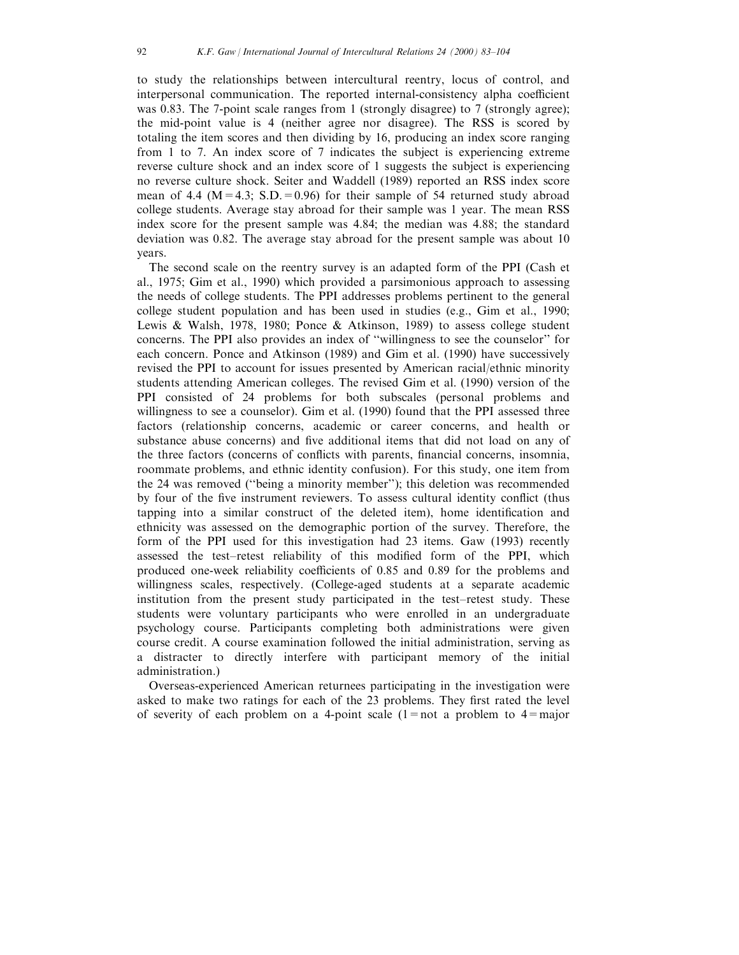to study the relationships between intercultural reentry, locus of control, and interpersonal communication. The reported internal-consistency alpha coefficient was 0.83. The 7-point scale ranges from 1 (strongly disagree) to 7 (strongly agree); the mid-point value is 4 (neither agree nor disagree). The RSS is scored by totaling the item scores and then dividing by 16, producing an index score ranging from 1 to 7. An index score of 7 indicates the subject is experiencing extreme reverse culture shock and an index score of 1 suggests the subject is experiencing no reverse culture shock. Seiter and Waddell (1989) reported an RSS index score mean of 4.4 ( $M = 4.3$ ; S.D. = 0.96) for their sample of 54 returned study abroad college students. Average stay abroad for their sample was 1 year. The mean RSS index score for the present sample was 4.84; the median was 4.88; the standard deviation was 0.82. The average stay abroad for the present sample was about 10 years.

The second scale on the reentry survey is an adapted form of the PPI (Cash et al., 1975; Gim et al., 1990) which provided a parsimonious approach to assessing the needs of college students. The PPI addresses problems pertinent to the general college student population and has been used in studies (e.g., Gim et al., 1990; Lewis & Walsh, 1978, 1980; Ponce & Atkinson, 1989) to assess college student concerns. The PPI also provides an index of ``willingness to see the counselor'' for each concern. Ponce and Atkinson (1989) and Gim et al. (1990) have successively revised the PPI to account for issues presented by American racial/ethnic minority students attending American colleges. The revised Gim et al. (1990) version of the PPI consisted of 24 problems for both subscales (personal problems and willingness to see a counselor). Gim et al. (1990) found that the PPI assessed three factors (relationship concerns, academic or career concerns, and health or substance abuse concerns) and five additional items that did not load on any of the three factors (concerns of conflicts with parents, financial concerns, insomnia, roommate problems, and ethnic identity confusion). For this study, one item from the 24 was removed ("being a minority member"); this deletion was recommended by four of the five instrument reviewers. To assess cultural identity conflict (thus tapping into a similar construct of the deleted item), home identification and ethnicity was assessed on the demographic portion of the survey. Therefore, the form of the PPI used for this investigation had 23 items. Gaw (1993) recently assessed the test-retest reliability of this modified form of the PPI, which produced one-week reliability coefficients of 0.85 and 0.89 for the problems and willingness scales, respectively. (College-aged students at a separate academic institution from the present study participated in the test-retest study. These students were voluntary participants who were enrolled in an undergraduate psychology course. Participants completing both administrations were given course credit. A course examination followed the initial administration, serving as a distracter to directly interfere with participant memory of the initial administration.)

Overseas-experienced American returnees participating in the investigation were asked to make two ratings for each of the 23 problems. They first rated the level of severity of each problem on a 4-point scale  $(1=not a$  problem to  $4=major$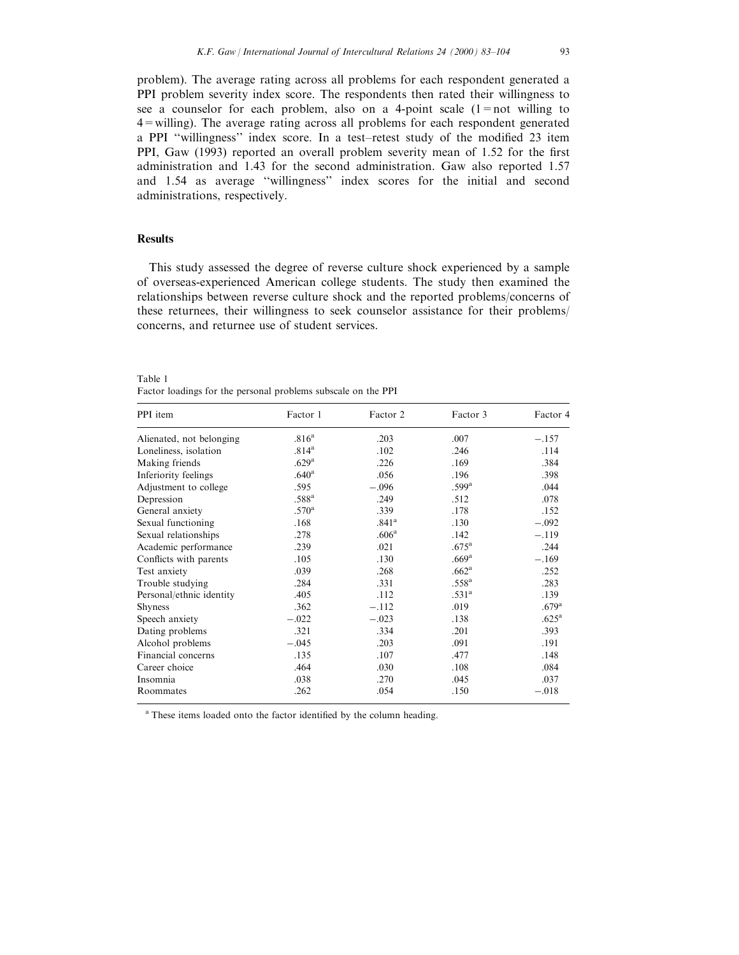problem). The average rating across all problems for each respondent generated a PPI problem severity index score. The respondents then rated their willingness to see a counselor for each problem, also on a 4-point scale  $(1=not)$  willing to 4=willing). The average rating across all problems for each respondent generated a PPI "willingness" index score. In a test-retest study of the modified 23 item PPI, Gaw (1993) reported an overall problem severity mean of 1.52 for the first administration and 1.43 for the second administration. Gaw also reported 1.57 and 1.54 as average "willingness" index scores for the initial and second administrations, respectively.

# Results

This study assessed the degree of reverse culture shock experienced by a sample of overseas-experienced American college students. The study then examined the relationships between reverse culture shock and the reported problems/concerns of these returnees, their willingness to seek counselor assistance for their problems/ concerns, and returnee use of student services.

| Table 1                                                       |  |  |  |
|---------------------------------------------------------------|--|--|--|
| Factor loadings for the personal problems subscale on the PPI |  |  |  |

| PPI item                 | Factor 1          | Factor 2          | Factor 3          | Factor 4          |
|--------------------------|-------------------|-------------------|-------------------|-------------------|
| Alienated, not belonging | .816 <sup>a</sup> | .203              | .007              | $-.157$           |
| Loneliness, isolation    | $.814^{\rm a}$    | .102              | .246              | .114              |
| Making friends           | .629 <sup>a</sup> | .226              | .169              | .384              |
| Inferiority feelings     | .640 <sup>a</sup> | .056              | .196              | .398              |
| Adjustment to college    | .595              | $-.096$           | .599 <sup>a</sup> | .044              |
| Depression               | .588 <sup>a</sup> | .249              | .512              | .078              |
| General anxiety          | .570 <sup>a</sup> | .339              | .178              | .152              |
| Sexual functioning       | .168              | .841 <sup>a</sup> | .130              | $-.092$           |
| Sexual relationships     | .278              | .606 <sup>a</sup> | .142              | $-.119$           |
| Academic performance     | .239              | .021              | .675 <sup>a</sup> | .244              |
| Conflicts with parents   | .105              | .130              | .669 <sup>a</sup> | $-.169$           |
| Test anxiety             | .039              | .268              | .662 <sup>a</sup> | .252              |
| Trouble studying         | .284              | .331              | .558 <sup>a</sup> | .283              |
| Personal/ethnic identity | .405              | .112              | .531 <sup>a</sup> | .139              |
| <b>Shyness</b>           | .362              | $-.112$           | .019              | .679 <sup>a</sup> |
| Speech anxiety           | $-.022$           | $-.023$           | .138              | .625 <sup>a</sup> |
| Dating problems          | .321              | .334              | .201              | .393              |
| Alcohol problems         | $-.045$           | .203              | .091              | .191              |
| Financial concerns       | .135              | .107              | .477              | .148              |
| Career choice            | .464              | .030              | .108              | .084              |
| Insomnia                 | .038              | .270              | .045              | .037              |
| Roommates                | .262              | .054              | .150              | $-.018$           |

<sup>a</sup> These items loaded onto the factor identified by the column heading.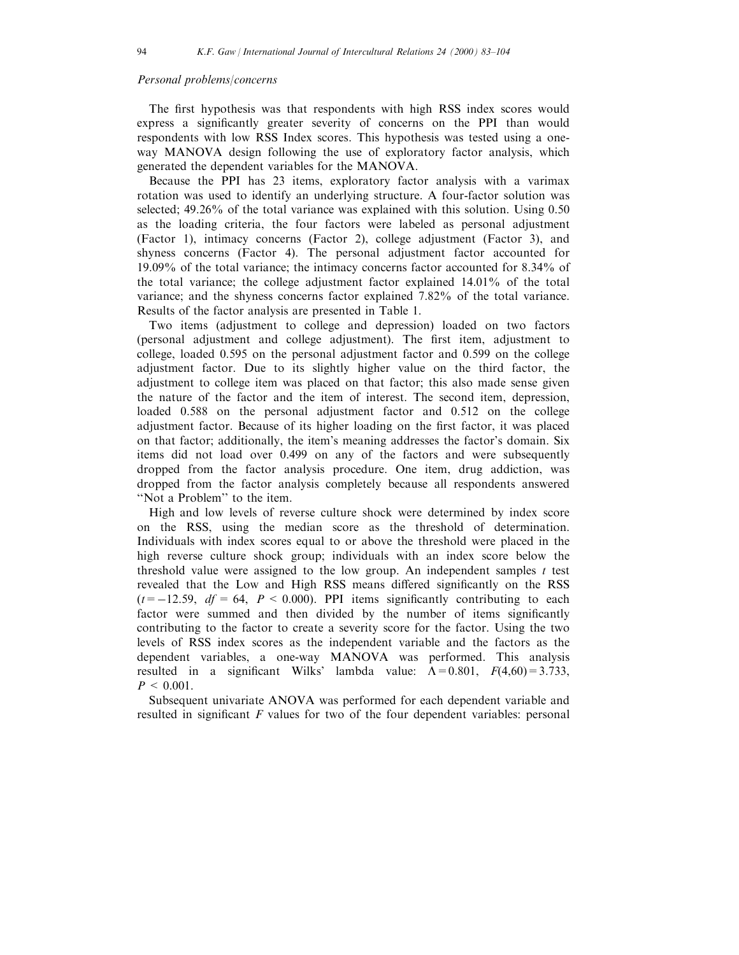#### Personal problems/concerns

The first hypothesis was that respondents with high RSS index scores would express a significantly greater severity of concerns on the PPI than would respondents with low RSS Index scores. This hypothesis was tested using a oneway MANOVA design following the use of exploratory factor analysis, which generated the dependent variables for the MANOVA.

Because the PPI has 23 items, exploratory factor analysis with a varimax rotation was used to identify an underlying structure. A four-factor solution was selected; 49.26% of the total variance was explained with this solution. Using 0.50 as the loading criteria, the four factors were labeled as personal adjustment (Factor 1), intimacy concerns (Factor 2), college adjustment (Factor 3), and shyness concerns (Factor 4). The personal adjustment factor accounted for 19.09% of the total variance; the intimacy concerns factor accounted for 8.34% of the total variance; the college adjustment factor explained 14.01% of the total variance; and the shyness concerns factor explained 7.82% of the total variance. Results of the factor analysis are presented in Table 1.

Two items (adjustment to college and depression) loaded on two factors (personal adjustment and college adjustment). The first item, adjustment to college, loaded 0.595 on the personal adjustment factor and 0.599 on the college adjustment factor. Due to its slightly higher value on the third factor, the adjustment to college item was placed on that factor; this also made sense given the nature of the factor and the item of interest. The second item, depression, loaded 0.588 on the personal adjustment factor and 0.512 on the college adjustment factor. Because of its higher loading on the first factor, it was placed on that factor; additionally, the item's meaning addresses the factor's domain. Six items did not load over 0.499 on any of the factors and were subsequently dropped from the factor analysis procedure. One item, drug addiction, was dropped from the factor analysis completely because all respondents answered ``Not a Problem'' to the item.

High and low levels of reverse culture shock were determined by index score on the RSS, using the median score as the threshold of determination. Individuals with index scores equal to or above the threshold were placed in the high reverse culture shock group; individuals with an index score below the threshold value were assigned to the low group. An independent samples  $t$  test revealed that the Low and High RSS means differed significantly on the RSS  $(t=-12.59, df = 64, P < 0.000)$ . PPI items significantly contributing to each factor were summed and then divided by the number of items significantly contributing to the factor to create a severity score for the factor. Using the two levels of RSS index scores as the independent variable and the factors as the dependent variables, a one-way MANOVA was performed. This analysis resulted in a significant Wilks' lambda value:  $\Lambda = 0.801$ ,  $F(4.60) = 3.733$ ,  $P < 0.001$ .

Subsequent univariate ANOVA was performed for each dependent variable and resulted in significant  $F$  values for two of the four dependent variables: personal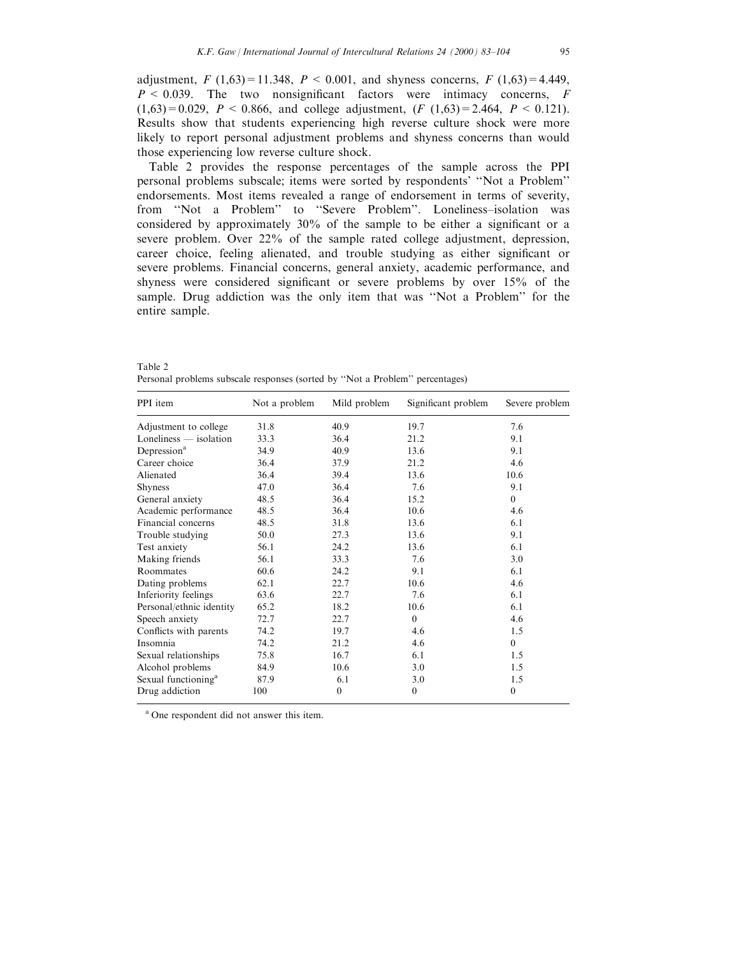adjustment,  $F(1,63) = 11.348$ ,  $P < 0.001$ , and shyness concerns,  $F(1,63) = 4.449$ ,  $P \le 0.039$ . The two nonsignificant factors were intimacy concerns, F  $(1,63)=0.029$ ,  $P < 0.866$ , and college adjustment,  $(F (1,63)=2.464, P < 0.121)$ . Results show that students experiencing high reverse culture shock were more likely to report personal adjustment problems and shyness concerns than would those experiencing low reverse culture shock.

Table 2 provides the response percentages of the sample across the PPI personal problems subscale; items were sorted by respondents' "Not a Problem" endorsements. Most items revealed a range of endorsement in terms of severity, from "Not a Problem" to "Severe Problem". Loneliness-isolation was considered by approximately  $30\%$  of the sample to be either a significant or a severe problem. Over 22% of the sample rated college adjustment, depression, career choice, feeling alienated, and trouble studying as either significant or severe problems. Financial concerns, general anxiety, academic performance, and shyness were considered significant or severe problems by over 15% of the sample. Drug addiction was the only item that was "Not a Problem" for the entire sample.

| PPI item                        | Not a problem | Mild problem | Significant problem | Severe problem |
|---------------------------------|---------------|--------------|---------------------|----------------|
| Adjustment to college           | 31.8          | 40.9         | 19.7                | 7.6            |
| $L$ oneliness $-$ isolation     | 33.3          | 36.4         | 21.2                | 9.1            |
| Depression <sup>a</sup>         | 34.9          | 40.9         | 13.6                | 9.1            |
| Career choice                   | 36.4          | 37.9         | 21.2                | 4.6            |
| Alienated                       | 36.4          | 39.4         | 13.6                | 10.6           |
| <b>Shyness</b>                  | 47.0          | 36.4         | 7.6                 | 9.1            |
| General anxiety                 | 48.5          | 36.4         | 15.2                | $\theta$       |
| Academic performance            | 48.5          | 36.4         | 10.6                | 4.6            |
| Financial concerns              | 48.5          | 31.8         | 13.6                | 6.1            |
| Trouble studying                | 50.0          | 27.3         | 13.6                | 9.1            |
| Test anxiety                    | 56.1          | 24.2         | 13.6                | 6.1            |
| Making friends                  | 56.1          | 33.3         | 7.6                 | 3.0            |
| Roommates                       | 60.6          | 24.2         | 9.1                 | 6.1            |
| Dating problems                 | 62.1          | 22.7         | 10.6                | 4.6            |
| Inferiority feelings            | 63.6          | 22.7         | 7.6                 | 6.1            |
| Personal/ethnic identity        | 65.2          | 18.2         | 10.6                | 6.1            |
| Speech anxiety                  | 72.7          | 22.7         | $\theta$            | 4.6            |
| Conflicts with parents          | 74.2          | 19.7         | 4.6                 | 1.5            |
| Insomnia                        | 74.2          | 21.2         | 4.6                 | $\theta$       |
| Sexual relationships            | 75.8          | 16.7         | 6.1                 | 1.5            |
| Alcohol problems                | 84.9          | 10.6         | 3.0                 | 1.5            |
| Sexual functioning <sup>a</sup> | 87.9          | 6.1          | 3.0                 | 1.5            |
| Drug addiction                  | 100           | $\theta$     | $\theta$            | $\theta$       |

Table 2 Personal problems subscale responses (sorted by "Not a Problem" percentages)

<sup>a</sup> One respondent did not answer this item.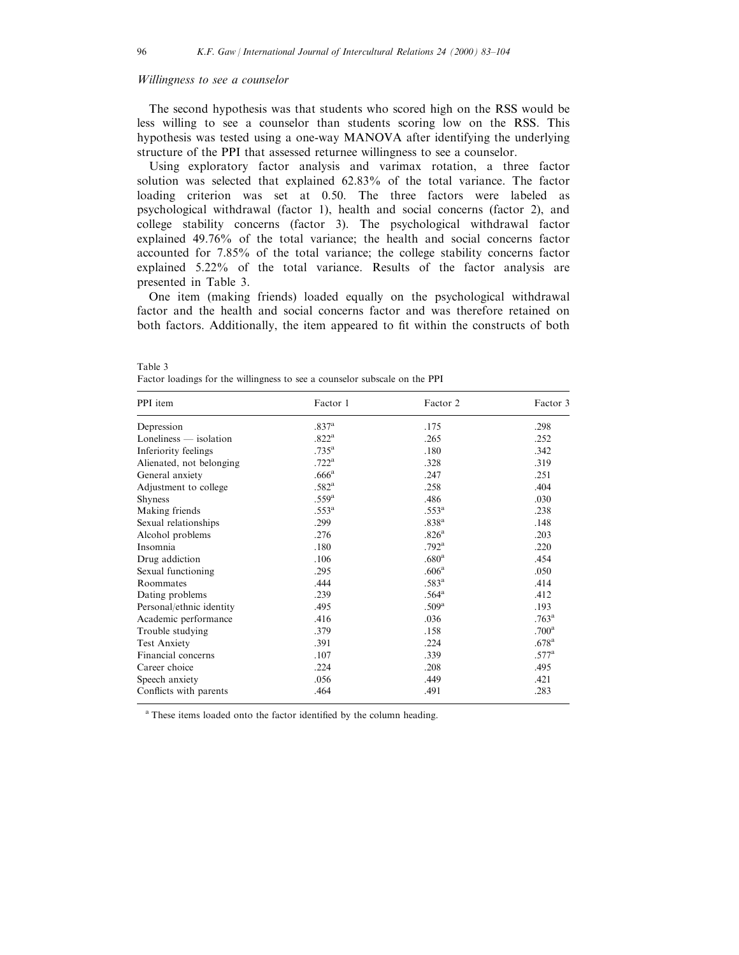#### Willingness to see a counselor

The second hypothesis was that students who scored high on the RSS would be less willing to see a counselor than students scoring low on the RSS. This hypothesis was tested using a one-way MANOVA after identifying the underlying structure of the PPI that assessed returnee willingness to see a counselor.

Using exploratory factor analysis and varimax rotation, a three factor solution was selected that explained 62.83% of the total variance. The factor loading criterion was set at 0.50. The three factors were labeled as psychological withdrawal (factor 1), health and social concerns (factor 2), and college stability concerns (factor 3). The psychological withdrawal factor explained 49.76% of the total variance; the health and social concerns factor accounted for 7.85% of the total variance; the college stability concerns factor explained 5.22% of the total variance. Results of the factor analysis are presented in Table 3.

One item (making friends) loaded equally on the psychological withdrawal factor and the health and social concerns factor and was therefore retained on both factors. Additionally, the item appeared to fit within the constructs of both

| PPI item                    | Factor 1          | Factor 2          | Factor 3          |  |  |
|-----------------------------|-------------------|-------------------|-------------------|--|--|
| Depression                  | .837 <sup>a</sup> | .175              | .298              |  |  |
| $L$ oneliness $-$ isolation | .822 <sup>a</sup> | .265              | .252              |  |  |
| Inferiority feelings        | $.735^{a}$        | .180              | .342              |  |  |
| Alienated, not belonging    | .722 <sup>a</sup> | .328              | .319              |  |  |
| General anxiety             | .666 <sup>a</sup> | .247              | .251              |  |  |
| Adjustment to college       | .582 <sup>a</sup> | .258              | .404              |  |  |
| Shyness                     | .559 <sup>a</sup> | .486              | .030              |  |  |
| Making friends              | .553 <sup>a</sup> | .553 <sup>a</sup> | .238              |  |  |
| Sexual relationships        | .299              | .838 <sup>a</sup> | .148              |  |  |
| Alcohol problems            | .276              | .826 <sup>a</sup> | .203              |  |  |
| Insomnia                    | .180              | .792 <sup>a</sup> | .220              |  |  |
| Drug addiction              | .106              | .680 <sup>a</sup> | .454              |  |  |
| Sexual functioning          | .295              | .606 <sup>a</sup> | .050              |  |  |
| Roommates                   | .444              | .583 <sup>a</sup> | .414              |  |  |
| Dating problems             | .239              | .564 <sup>a</sup> | .412              |  |  |
| Personal/ethnic identity    | .495              | .509 <sup>a</sup> | .193              |  |  |
| Academic performance        | .416              | .036              | .763 <sup>a</sup> |  |  |
| Trouble studying            | .379              | .158              | .700 <sup>a</sup> |  |  |
| <b>Test Anxiety</b>         | .391              | .224              | .678 <sup>a</sup> |  |  |
| Financial concerns          | .107              | .339              | .577 <sup>a</sup> |  |  |
| Career choice               | .224              | .208              | .495              |  |  |
| Speech anxiety              | .056              | .449              | .421              |  |  |
| Conflicts with parents      | .464              | .491              | .283              |  |  |

| <b>Taviv</b> |                                                                            |  |
|--------------|----------------------------------------------------------------------------|--|
|              | Factor loadings for the willingness to see a counselor subscale on the PPI |  |

<sup>a</sup> These items loaded onto the factor identified by the column heading.

Table 3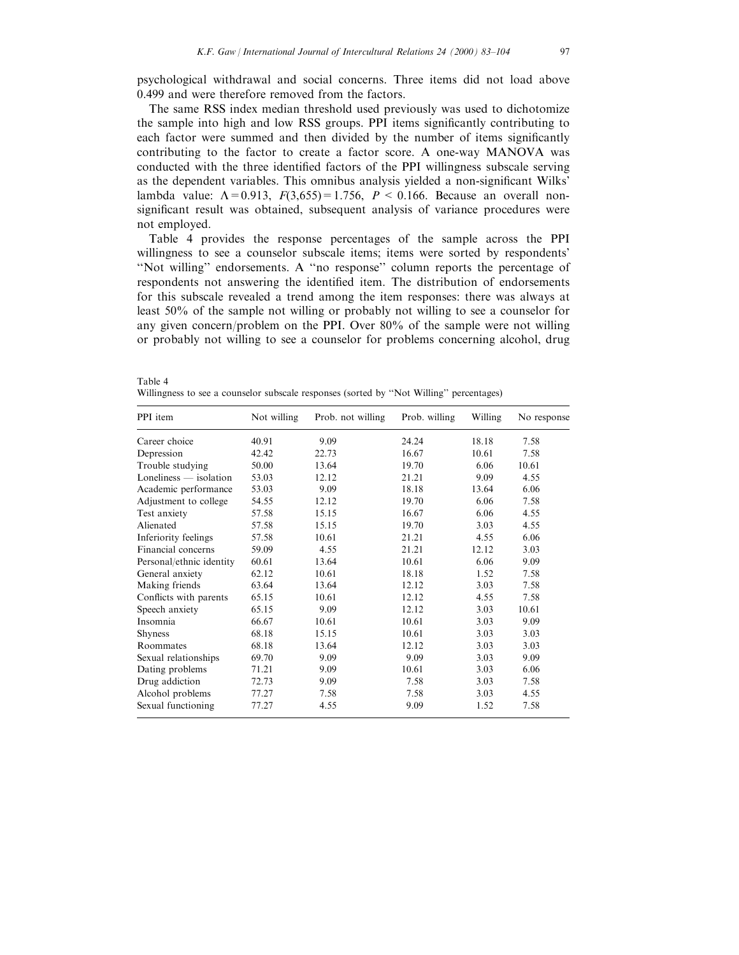psychological withdrawal and social concerns. Three items did not load above 0.499 and were therefore removed from the factors.

The same RSS index median threshold used previously was used to dichotomize the sample into high and low RSS groups. PPI items significantly contributing to each factor were summed and then divided by the number of items significantly contributing to the factor to create a factor score. A one-way MANOVA was conducted with the three identified factors of the PPI willingness subscale serving as the dependent variables. This omnibus analysis yielded a non-significant Wilks' lambda value:  $\Lambda = 0.913$ ,  $F(3,655) = 1.756$ ,  $P < 0.166$ . Because an overall nonsignificant result was obtained, subsequent analysis of variance procedures were not employed.

Table 4 provides the response percentages of the sample across the PPI willingness to see a counselor subscale items; items were sorted by respondents' ``Not willing'' endorsements. A ``no response'' column reports the percentage of respondents not answering the identified item. The distribution of endorsements for this subscale revealed a trend among the item responses: there was always at least 50% of the sample not willing or probably not willing to see a counselor for any given concern/problem on the PPI. Over 80% of the sample were not willing or probably not willing to see a counselor for problems concerning alcohol, drug

| Table 4                                                                                 |  |  |
|-----------------------------------------------------------------------------------------|--|--|
| Willingness to see a counselor subscale responses (sorted by "Not Willing" percentages) |  |  |

| PPI item                    | Not willing | Prob. not willing | Prob. willing | Willing | No response |
|-----------------------------|-------------|-------------------|---------------|---------|-------------|
| Career choice               | 40.91       | 9.09              | 24.24         | 18.18   | 7.58        |
| Depression                  | 42.42       | 22.73             | 16.67         | 10.61   | 7.58        |
| Trouble studying            | 50.00       | 13.64             | 19.70         | 6.06    | 10.61       |
| $L$ oneliness $-$ isolation | 53.03       | 12.12             | 21.21         | 9.09    | 4.55        |
| Academic performance        | 53.03       | 9.09              | 18.18         | 13.64   | 6.06        |
| Adjustment to college       | 54.55       | 12.12             | 19.70         | 6.06    | 7.58        |
| Test anxiety                | 57.58       | 15.15             | 16.67         | 6.06    | 4.55        |
| Alienated                   | 57.58       | 15.15             | 19.70         | 3.03    | 4.55        |
| Inferiority feelings        | 57.58       | 10.61             | 21.21         | 4.55    | 6.06        |
| Financial concerns          | 59.09       | 4.55              | 21.21         | 12.12   | 3.03        |
| Personal/ethnic identity    | 60.61       | 13.64             | 10.61         | 6.06    | 9.09        |
| General anxiety             | 62.12       | 10.61             | 18.18         | 1.52    | 7.58        |
| Making friends              | 63.64       | 13.64             | 12.12         | 3.03    | 7.58        |
| Conflicts with parents      | 65.15       | 10.61             | 12.12         | 4.55    | 7.58        |
| Speech anxiety              | 65.15       | 9.09              | 12.12         | 3.03    | 10.61       |
| Insomnia                    | 66.67       | 10.61             | 10.61         | 3.03    | 9.09        |
| <b>Shyness</b>              | 68.18       | 15.15             | 10.61         | 3.03    | 3.03        |
| Roommates                   | 68.18       | 13.64             | 12.12         | 3.03    | 3.03        |
| Sexual relationships        | 69.70       | 9.09              | 9.09          | 3.03    | 9.09        |
| Dating problems             | 71.21       | 9.09              | 10.61         | 3.03    | 6.06        |
| Drug addiction              | 72.73       | 9.09              | 7.58          | 3.03    | 7.58        |
| Alcohol problems            | 77.27       | 7.58              | 7.58          | 3.03    | 4.55        |
| Sexual functioning          | 77.27       | 4.55              | 9.09          | 1.52    | 7.58        |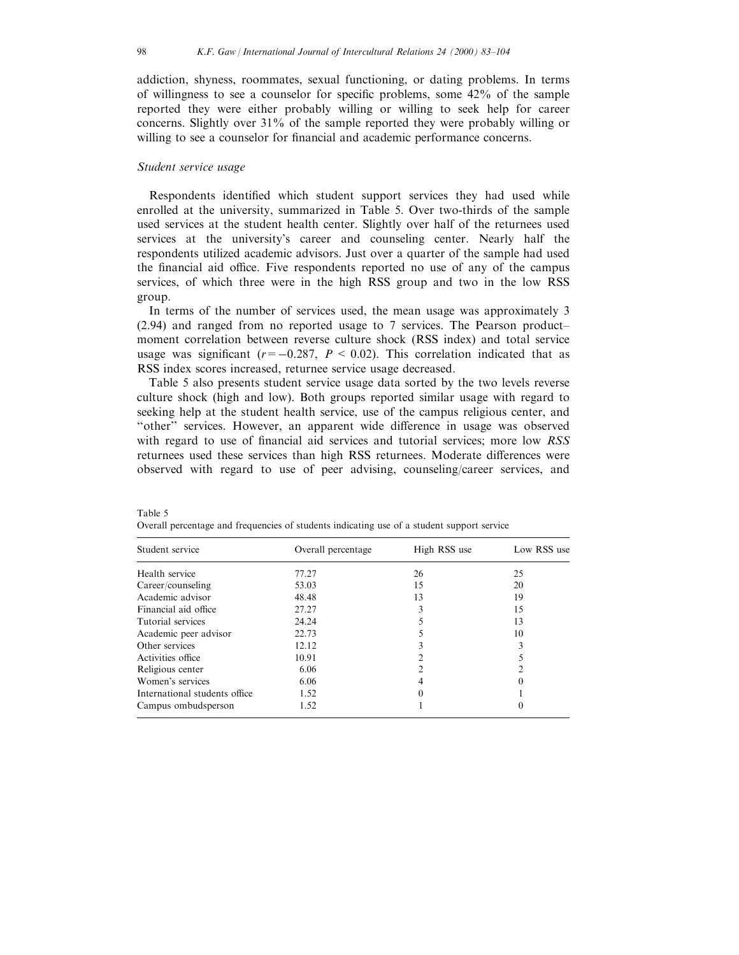Table 5

addiction, shyness, roommates, sexual functioning, or dating problems. In terms of willingness to see a counselor for specific problems, some  $42\%$  of the sample reported they were either probably willing or willing to seek help for career concerns. Slightly over 31% of the sample reported they were probably willing or willing to see a counselor for financial and academic performance concerns.

### Student service usage

Respondents identified which student support services they had used while enrolled at the university, summarized in Table 5. Over two-thirds of the sample used services at the student health center. Slightly over half of the returnees used services at the university's career and counseling center. Nearly half the respondents utilized academic advisors. Just over a quarter of the sample had used the financial aid office. Five respondents reported no use of any of the campus services, of which three were in the high RSS group and two in the low RSS group.

In terms of the number of services used, the mean usage was approximately 3  $(2.94)$  and ranged from no reported usage to 7 services. The Pearson productmoment correlation between reverse culture shock (RSS index) and total service usage was significant ( $r=-0.287$ ,  $P < 0.02$ ). This correlation indicated that as RSS index scores increased, returnee service usage decreased.

Table 5 also presents student service usage data sorted by the two levels reverse culture shock (high and low). Both groups reported similar usage with regard to seeking help at the student health service, use of the campus religious center, and "other" services. However, an apparent wide difference in usage was observed with regard to use of financial aid services and tutorial services; more low RSS returnees used these services than high RSS returnees. Moderate differences were observed with regard to use of peer advising, counseling/career services, and

| Student service               | Overall percentage | High RSS use | Low RSS use |
|-------------------------------|--------------------|--------------|-------------|
| Health service                | 77.27              | 26           | 25          |
| Career/counseling             | 53.03              | 15           | 20          |
| Academic advisor              | 48.48              | 13           | 19          |
| Financial aid office          | 27.27              | 3            | 15          |
| Tutorial services             | 24.24              |              | 13          |
| Academic peer advisor         | 22.73              |              | 10          |
| Other services                | 12.12              |              |             |
| Activities office             | 10.91              | ∍            |             |
| Religious center              | 6.06               | ↑            |             |
| Women's services              | 6.06               |              |             |
| International students office | 1.52               |              |             |
| Campus ombudsperson           | 1.52               |              |             |

Overall percentage and frequencies of students indicating use of a student support service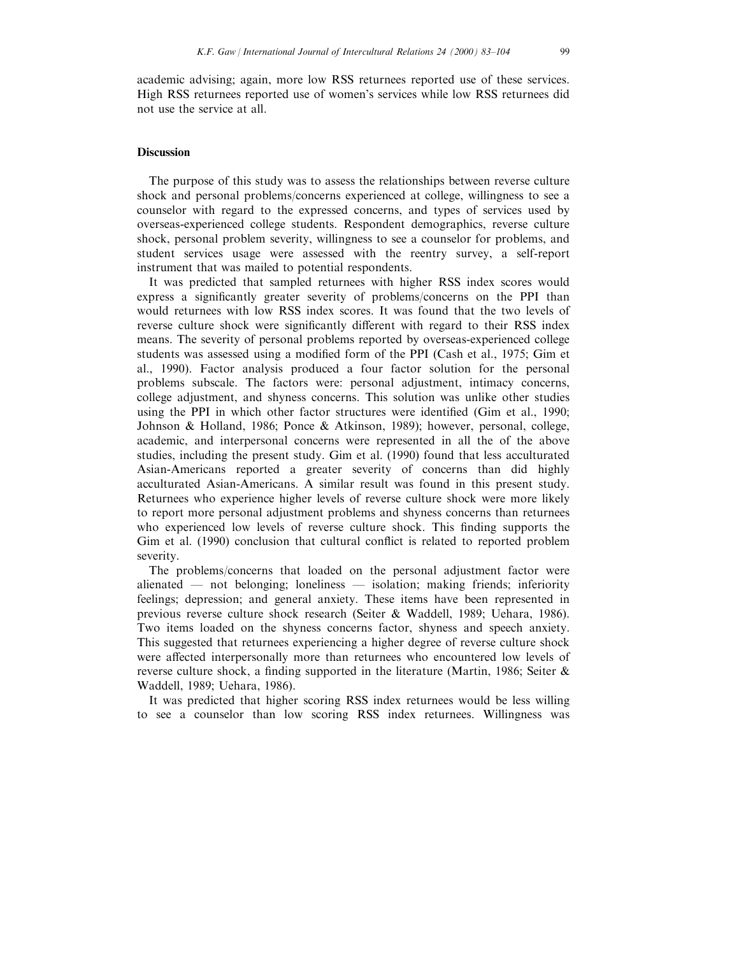academic advising; again, more low RSS returnees reported use of these services. High RSS returnees reported use of women's services while low RSS returnees did not use the service at all.

# **Discussion**

The purpose of this study was to assess the relationships between reverse culture shock and personal problems/concerns experienced at college, willingness to see a counselor with regard to the expressed concerns, and types of services used by overseas-experienced college students. Respondent demographics, reverse culture shock, personal problem severity, willingness to see a counselor for problems, and student services usage were assessed with the reentry survey, a self-report instrument that was mailed to potential respondents.

It was predicted that sampled returnees with higher RSS index scores would express a significantly greater severity of problems/concerns on the PPI than would returnees with low RSS index scores. It was found that the two levels of reverse culture shock were significantly different with regard to their RSS index means. The severity of personal problems reported by overseas-experienced college students was assessed using a modified form of the PPI (Cash et al., 1975; Gim et al., 1990). Factor analysis produced a four factor solution for the personal problems subscale. The factors were: personal adjustment, intimacy concerns, college adjustment, and shyness concerns. This solution was unlike other studies using the PPI in which other factor structures were identified (Gim et al., 1990; Johnson & Holland, 1986; Ponce & Atkinson, 1989); however, personal, college, academic, and interpersonal concerns were represented in all the of the above studies, including the present study. Gim et al. (1990) found that less acculturated Asian-Americans reported a greater severity of concerns than did highly acculturated Asian-Americans. A similar result was found in this present study. Returnees who experience higher levels of reverse culture shock were more likely to report more personal adjustment problems and shyness concerns than returnees who experienced low levels of reverse culture shock. This finding supports the Gim et al. (1990) conclusion that cultural conflict is related to reported problem severity.

The problems/concerns that loaded on the personal adjustment factor were alienated  $\overline{\phantom{a}}$  not belonging; loneliness  $\overline{\phantom{a}}$  isolation; making friends; inferiority feelings; depression; and general anxiety. These items have been represented in previous reverse culture shock research (Seiter & Waddell, 1989; Uehara, 1986). Two items loaded on the shyness concerns factor, shyness and speech anxiety. This suggested that returnees experiencing a higher degree of reverse culture shock were affected interpersonally more than returnees who encountered low levels of reverse culture shock, a finding supported in the literature (Martin, 1986; Seiter  $\&$ Waddell, 1989; Uehara, 1986).

It was predicted that higher scoring RSS index returnees would be less willing to see a counselor than low scoring RSS index returnees. Willingness was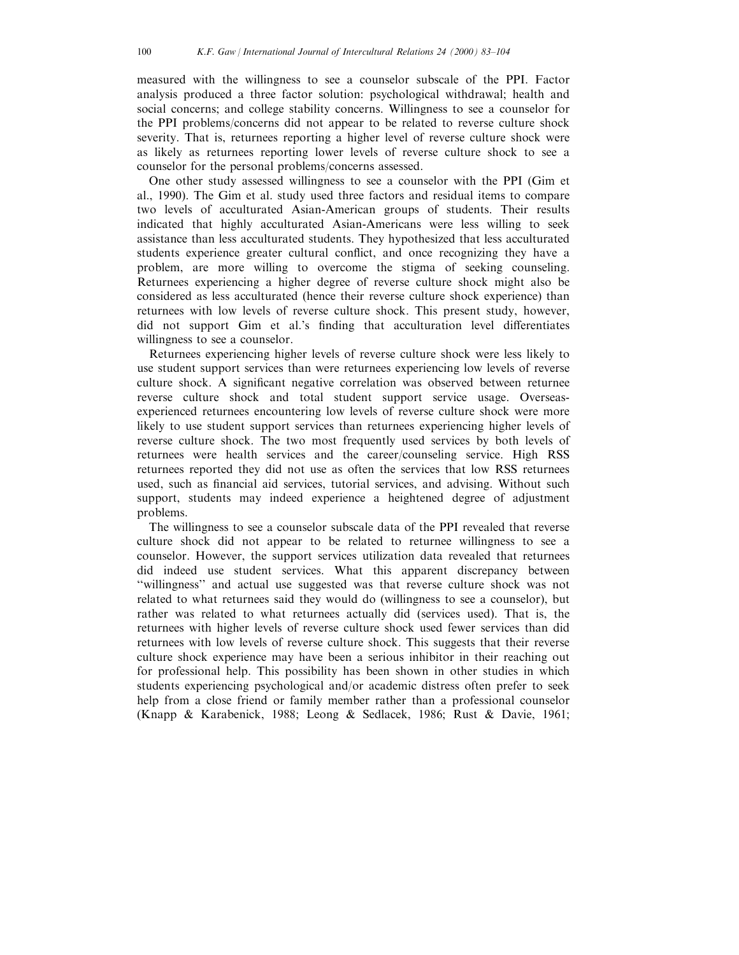measured with the willingness to see a counselor subscale of the PPI. Factor analysis produced a three factor solution: psychological withdrawal; health and social concerns; and college stability concerns. Willingness to see a counselor for the PPI problems/concerns did not appear to be related to reverse culture shock severity. That is, returnees reporting a higher level of reverse culture shock were as likely as returnees reporting lower levels of reverse culture shock to see a counselor for the personal problems/concerns assessed.

One other study assessed willingness to see a counselor with the PPI (Gim et al., 1990). The Gim et al. study used three factors and residual items to compare two levels of acculturated Asian-American groups of students. Their results indicated that highly acculturated Asian-Americans were less willing to seek assistance than less acculturated students. They hypothesized that less acculturated students experience greater cultural conflict, and once recognizing they have a problem, are more willing to overcome the stigma of seeking counseling. Returnees experiencing a higher degree of reverse culture shock might also be considered as less acculturated (hence their reverse culture shock experience) than returnees with low levels of reverse culture shock. This present study, however, did not support Gim et al.'s finding that acculturation level differentiates willingness to see a counselor.

Returnees experiencing higher levels of reverse culture shock were less likely to use student support services than were returnees experiencing low levels of reverse culture shock. A significant negative correlation was observed between returnee reverse culture shock and total student support service usage. Overseasexperienced returnees encountering low levels of reverse culture shock were more likely to use student support services than returnees experiencing higher levels of reverse culture shock. The two most frequently used services by both levels of returnees were health services and the career/counseling service. High RSS returnees reported they did not use as often the services that low RSS returnees used, such as financial aid services, tutorial services, and advising. Without such support, students may indeed experience a heightened degree of adjustment problems.

The willingness to see a counselor subscale data of the PPI revealed that reverse culture shock did not appear to be related to returnee willingness to see a counselor. However, the support services utilization data revealed that returnees did indeed use student services. What this apparent discrepancy between ``willingness'' and actual use suggested was that reverse culture shock was not related to what returnees said they would do (willingness to see a counselor), but rather was related to what returnees actually did (services used). That is, the returnees with higher levels of reverse culture shock used fewer services than did returnees with low levels of reverse culture shock. This suggests that their reverse culture shock experience may have been a serious inhibitor in their reaching out for professional help. This possibility has been shown in other studies in which students experiencing psychological and/or academic distress often prefer to seek help from a close friend or family member rather than a professional counselor (Knapp & Karabenick, 1988; Leong & Sedlacek, 1986; Rust & Davie, 1961;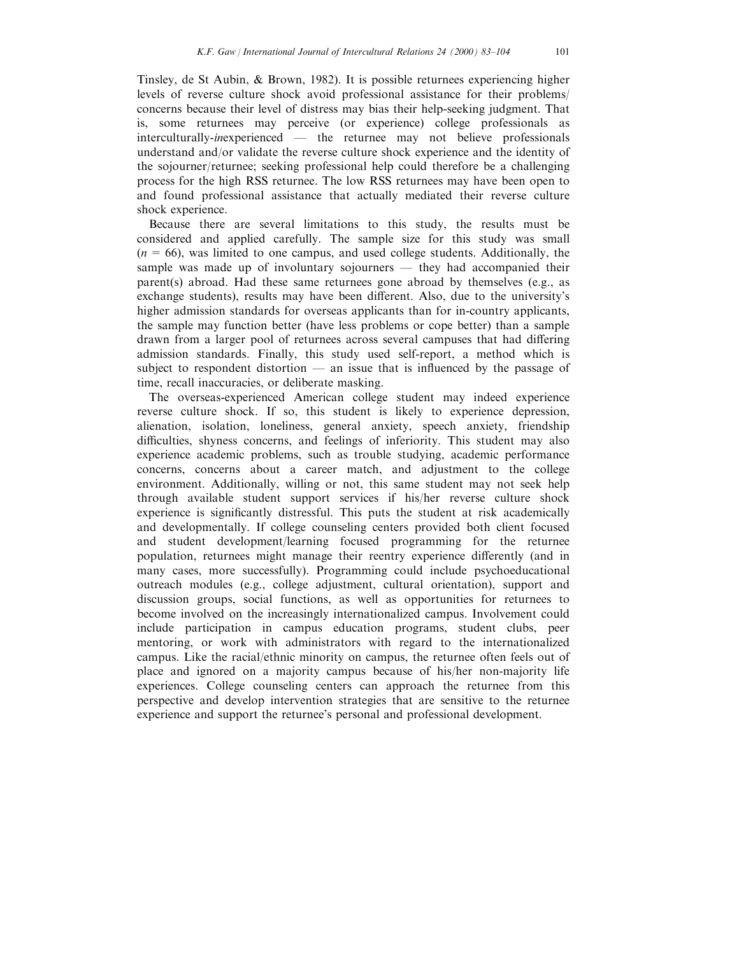Tinsley, de St Aubin, & Brown, 1982). It is possible returnees experiencing higher levels of reverse culture shock avoid professional assistance for their problems/ concerns because their level of distress may bias their help-seeking judgment. That is, some returnees may perceive (or experience) college professionals as interculturally-inexperienced — the returnee may not believe professionals understand and/or validate the reverse culture shock experience and the identity of the sojourner/returnee; seeking professional help could therefore be a challenging process for the high RSS returnee. The low RSS returnees may have been open to and found professional assistance that actually mediated their reverse culture shock experience.

Because there are several limitations to this study, the results must be considered and applied carefully. The sample size for this study was small  $(n = 66)$ , was limited to one campus, and used college students. Additionally, the sample was made up of involuntary sojourners  $-$  they had accompanied their parent(s) abroad. Had these same returnees gone abroad by themselves (e.g., as exchange students), results may have been different. Also, due to the university's higher admission standards for overseas applicants than for in-country applicants, the sample may function better (have less problems or cope better) than a sample drawn from a larger pool of returnees across several campuses that had differing admission standards. Finally, this study used self-report, a method which is subject to respondent distortion  $\overline{\phantom{a}}$  an issue that is influenced by the passage of time, recall inaccuracies, or deliberate masking.

The overseas-experienced American college student may indeed experience reverse culture shock. If so, this student is likely to experience depression, alienation, isolation, loneliness, general anxiety, speech anxiety, friendship difficulties, shyness concerns, and feelings of inferiority. This student may also experience academic problems, such as trouble studying, academic performance concerns, concerns about a career match, and adjustment to the college environment. Additionally, willing or not, this same student may not seek help through available student support services if his/her reverse culture shock experience is significantly distressful. This puts the student at risk academically and developmentally. If college counseling centers provided both client focused and student development/learning focused programming for the returnee population, returnees might manage their reentry experience differently (and in many cases, more successfully). Programming could include psychoeducational outreach modules (e.g., college adjustment, cultural orientation), support and discussion groups, social functions, as well as opportunities for returnees to become involved on the increasingly internationalized campus. Involvement could include participation in campus education programs, student clubs, peer mentoring, or work with administrators with regard to the internationalized campus. Like the racial/ethnic minority on campus, the returnee often feels out of place and ignored on a majority campus because of his/her non-majority life experiences. College counseling centers can approach the returnee from this perspective and develop intervention strategies that are sensitive to the returnee experience and support the returnee's personal and professional development.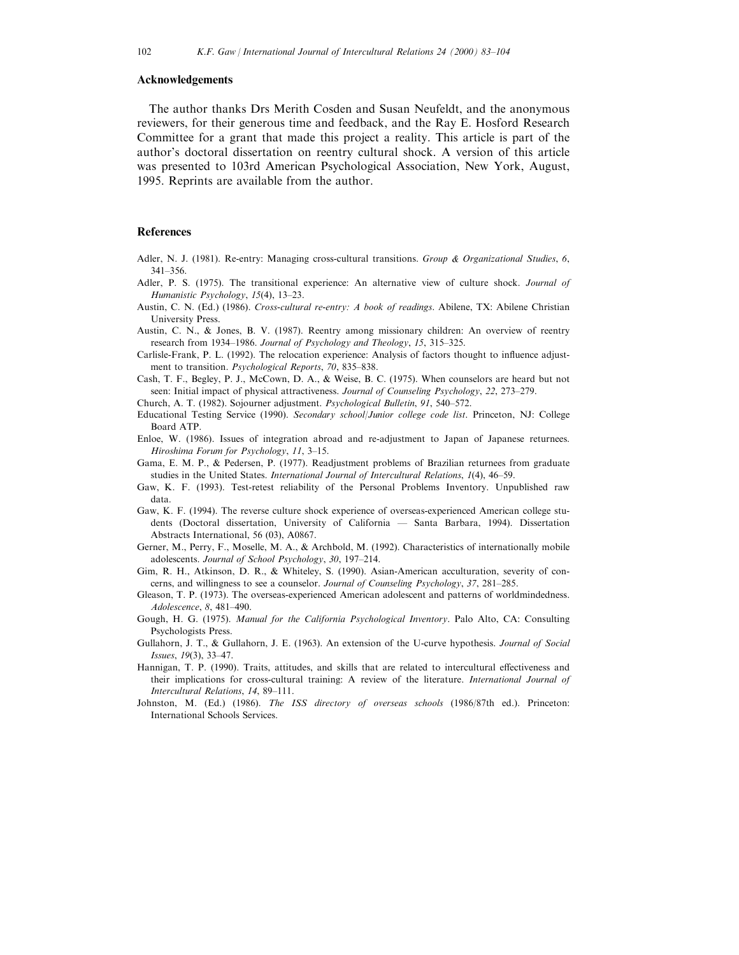#### Acknowledgements

The author thanks Drs Merith Cosden and Susan Neufeldt, and the anonymous reviewers, for their generous time and feedback, and the Ray E. Hosford Research Committee for a grant that made this project a reality. This article is part of the author's doctoral dissertation on reentry cultural shock. A version of this article was presented to 103rd American Psychological Association, New York, August, 1995. Reprints are available from the author.

## References

- Adler, N. J. (1981). Re-entry: Managing cross-cultural transitions. Group & Organizational Studies, 6, 341±356.
- Adler, P. S. (1975). The transitional experience: An alternative view of culture shock. Journal of Humanistic Psychology,  $15(4)$ , 13-23.
- Austin, C. N. (Ed.) (1986). Cross-cultural re-entry: A book of readings. Abilene, TX: Abilene Christian University Press.
- Austin, C. N., & Jones, B. V. (1987). Reentry among missionary children: An overview of reentry research from 1934-1986. Journal of Psychology and Theology, 15, 315-325.
- Carlisle-Frank, P. L. (1992). The relocation experience: Analysis of factors thought to influence adjustment to transition. *Psychological Reports*, 70, 835–838.
- Cash, T. F., Begley, P. J., McCown, D. A., & Weise, B. C. (1975). When counselors are heard but not seen: Initial impact of physical attractiveness. Journal of Counseling Psychology, 22, 273-279.
- Church, A. T. (1982). Sojourner adjustment. Psychological Bulletin, 91, 540-572.
- Educational Testing Service (1990). Secondary school/Junior college code list. Princeton, NJ: College Board ATP.
- Enloe, W. (1986). Issues of integration abroad and re-adjustment to Japan of Japanese returnees. Hiroshima Forum for Psychology, 11, 3-15.
- Gama, E. M. P., & Pedersen, P. (1977). Readjustment problems of Brazilian returnees from graduate studies in the United States. International Journal of Intercultural Relations, 1(4), 46-59.
- Gaw, K. F. (1993). Test-retest reliability of the Personal Problems Inventory. Unpublished raw data.
- Gaw, K. F. (1994). The reverse culture shock experience of overseas-experienced American college students (Doctoral dissertation, University of California - Santa Barbara, 1994). Dissertation Abstracts International, 56 (03), A0867.
- Gerner, M., Perry, F., Moselle, M. A., & Archbold, M. (1992). Characteristics of internationally mobile adolescents. Journal of School Psychology, 30, 197-214.
- Gim, R. H., Atkinson, D. R., & Whiteley, S. (1990). Asian-American acculturation, severity of concerns, and willingness to see a counselor. Journal of Counseling Psychology, 37, 281-285.
- Gleason, T. P. (1973). The overseas-experienced American adolescent and patterns of worldmindedness. Adolescence, 8, 481-490.
- Gough, H. G. (1975). Manual for the California Psychological Inventory. Palo Alto, CA: Consulting Psychologists Press.
- Gullahorn, J. T., & Gullahorn, J. E. (1963). An extension of the U-curve hypothesis. Journal of Social Issues, 19(3), 33-47.
- Hannigan, T. P. (1990). Traits, attitudes, and skills that are related to intercultural effectiveness and their implications for cross-cultural training: A review of the literature. International Journal of Intercultural Relations, 14, 89-111.
- Johnston, M. (Ed.) (1986). The ISS directory of overseas schools (1986/87th ed.). Princeton: International Schools Services.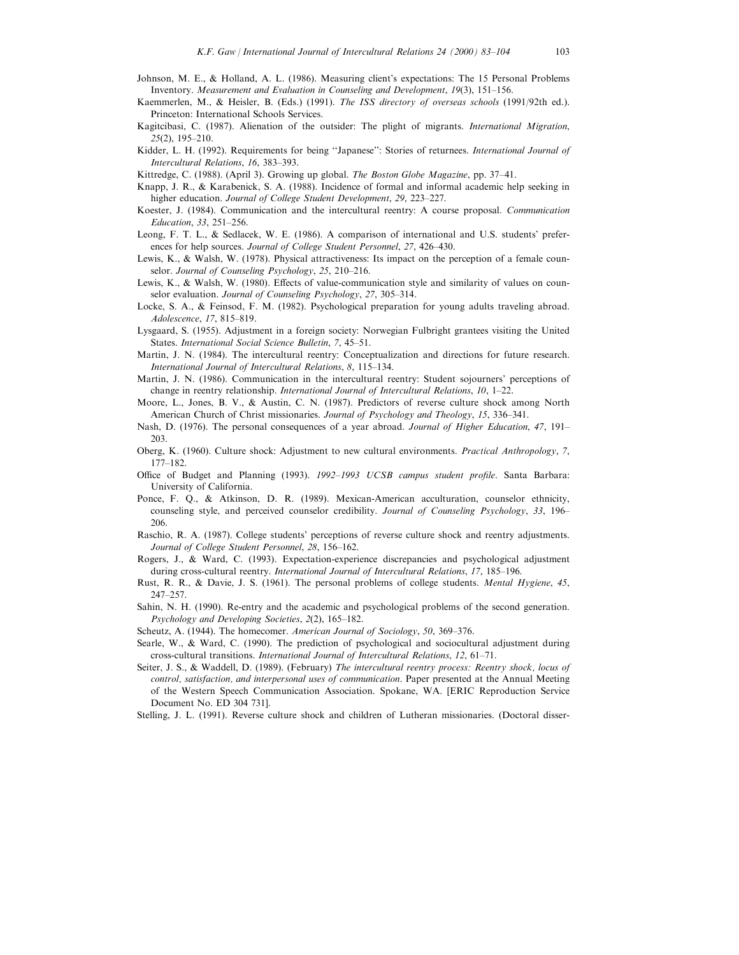- Johnson, M. E., & Holland, A. L. (1986). Measuring client's expectations: The 15 Personal Problems Inventory. Measurement and Evaluation in Counseling and Development, 19(3), 151-156.
- Kaemmerlen, M., & Heisler, B. (Eds.) (1991). The ISS directory of overseas schools (1991/92th ed.). Princeton: International Schools Services.
- Kagitcibasi, C. (1987). Alienation of the outsider: The plight of migrants. International Migration,  $25(2)$ , 195-210.
- Kidder, L. H. (1992). Requirements for being "Japanese": Stories of returnees. International Journal of Intercultural Relations, 16, 383-393.

Kittredge, C. (1988). (April 3). Growing up global. The Boston Globe Magazine, pp. 37–41.

- Knapp, J. R., & Karabenick, S. A. (1988). Incidence of formal and informal academic help seeking in higher education. Journal of College Student Development, 29, 223-227.
- Koester, J. (1984). Communication and the intercultural reentry: A course proposal. Communication Education, 33, 251-256.
- Leong, F. T. L., & Sedlacek, W. E. (1986). A comparison of international and U.S. students' preferences for help sources. Journal of College Student Personnel, 27, 426-430.
- Lewis, K., & Walsh, W. (1978). Physical attractiveness: Its impact on the perception of a female counselor. Journal of Counseling Psychology, 25, 210-216.
- Lewis, K., & Walsh, W. (1980). Effects of value-communication style and similarity of values on counselor evaluation. Journal of Counseling Psychology, 27, 305-314.
- Locke, S. A., & Feinsod, F. M. (1982). Psychological preparation for young adults traveling abroad. Adolescence, 17, 815-819.
- Lysgaard, S. (1955). Adjustment in a foreign society: Norwegian Fulbright grantees visiting the United States. International Social Science Bulletin, 7, 45-51.
- Martin, J. N. (1984). The intercultural reentry: Conceptualization and directions for future research. International Journal of Intercultural Relations, 8, 115-134.
- Martin, J. N. (1986). Communication in the intercultural reentry: Student sojourners' perceptions of change in reentry relationship. International Journal of Intercultural Relations, 10, 1-22.
- Moore, L., Jones, B. V., & Austin, C. N. (1987). Predictors of reverse culture shock among North American Church of Christ missionaries. Journal of Psychology and Theology, 15, 336-341.
- Nash, D. (1976). The personal consequences of a year abroad. Journal of Higher Education, 47, 191– 203.
- Oberg, K. (1960). Culture shock: Adjustment to new cultural environments. Practical Anthropology, 7, 177±182.
- Office of Budget and Planning (1993). 1992-1993 UCSB campus student profile. Santa Barbara: University of California.
- Ponce, F. Q., & Atkinson, D. R. (1989). Mexican-American acculturation, counselor ethnicity, counseling style, and perceived counselor credibility. Journal of Counseling Psychology, 33, 196 $-$ 206.
- Raschio, R. A. (1987). College students' perceptions of reverse culture shock and reentry adjustments. Journal of College Student Personnel, 28, 156-162.
- Rogers, J., & Ward, C. (1993). Expectation-experience discrepancies and psychological adjustment during cross-cultural reentry. International Journal of Intercultural Relations, 17, 185-196.
- Rust, R. R., & Davie, J. S. (1961). The personal problems of college students. Mental Hygiene, 45, 247±257.
- Sahin, N. H. (1990). Re-entry and the academic and psychological problems of the second generation. Psychology and Developing Societies, 2(2), 165-182.
- Scheutz, A. (1944). The homecomer. American Journal of Sociology, 50, 369-376.
- Searle, W., & Ward, C. (1990). The prediction of psychological and sociocultural adjustment during cross-cultural transitions. International Journal of Intercultural Relations, 12, 61-71.
- Seiter, J. S., & Waddell, D. (1989). (February) The intercultural reentry process: Reentry shock, locus of control, satisfaction, and interpersonal uses of communication. Paper presented at the Annual Meeting of the Western Speech Communication Association. Spokane, WA. [ERIC Reproduction Service Document No. ED 304 731].
- Stelling, J. L. (1991). Reverse culture shock and children of Lutheran missionaries. (Doctoral disser-